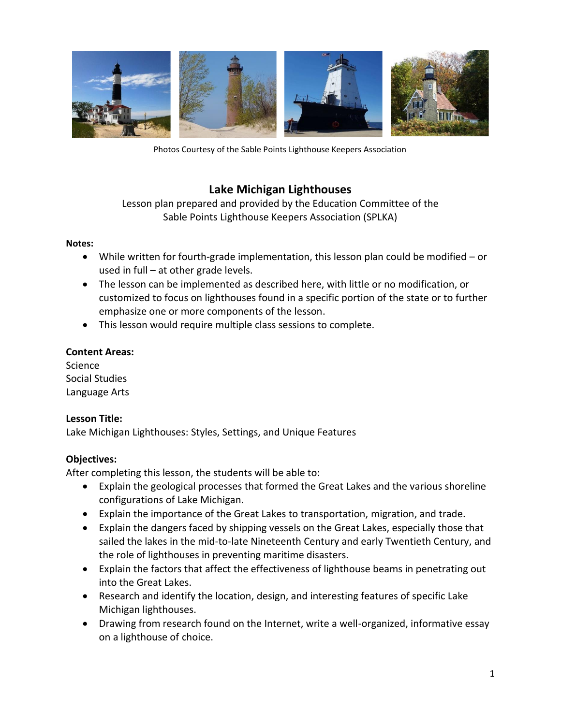

Photos Courtesy of the Sable Points Lighthouse Keepers Association

# **Lake Michigan Lighthouses**

# Lesson plan prepared and provided by the Education Committee of the Sable Points Lighthouse Keepers Association (SPLKA)

#### **Notes:**

- While written for fourth-grade implementation, this lesson plan could be modified or used in full – at other grade levels.
- The lesson can be implemented as described here, with little or no modification, or customized to focus on lighthouses found in a specific portion of the state or to further emphasize one or more components of the lesson.
- This lesson would require multiple class sessions to complete.

## **Content Areas:**

Science Social Studies Language Arts

## **Lesson Title:**

Lake Michigan Lighthouses: Styles, Settings, and Unique Features

## **Objectives:**

After completing this lesson, the students will be able to:

- Explain the geological processes that formed the Great Lakes and the various shoreline configurations of Lake Michigan.
- Explain the importance of the Great Lakes to transportation, migration, and trade.
- Explain the dangers faced by shipping vessels on the Great Lakes, especially those that sailed the lakes in the mid-to-late Nineteenth Century and early Twentieth Century, and the role of lighthouses in preventing maritime disasters.
- Explain the factors that affect the effectiveness of lighthouse beams in penetrating out into the Great Lakes.
- Research and identify the location, design, and interesting features of specific Lake Michigan lighthouses.
- Drawing from research found on the Internet, write a well-organized, informative essay on a lighthouse of choice.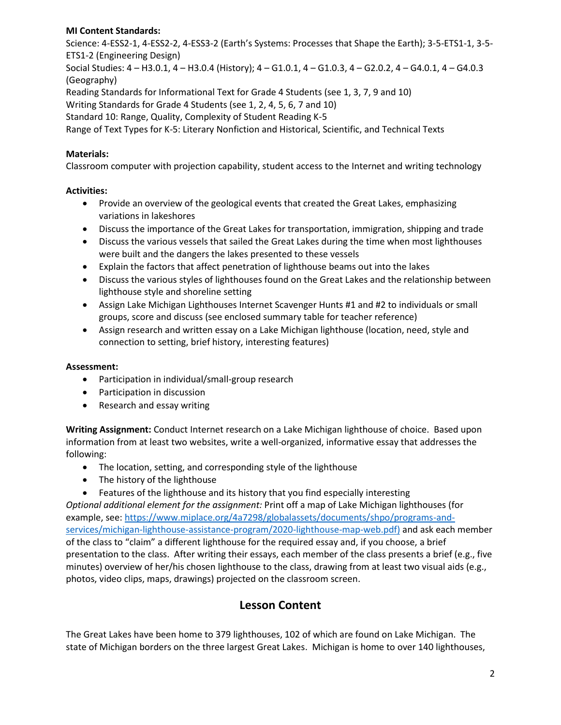## **MI Content Standards:**

Science: 4-ESS2-1, 4-ESS2-2, 4-ESS3-2 (Earth's Systems: Processes that Shape the Earth); 3-5-ETS1-1, 3-5- ETS1-2 (Engineering Design)

Social Studies: 4 – H3.0.1, 4 – H3.0.4 (History); 4 – G1.0.1, 4 – G1.0.3, 4 – G2.0.2, 4 – G4.0.1, 4 – G4.0.3 (Geography)

Reading Standards for Informational Text for Grade 4 Students (see 1, 3, 7, 9 and 10)

Writing Standards for Grade 4 Students (see 1, 2, 4, 5, 6, 7 and 10)

Standard 10: Range, Quality, Complexity of Student Reading K-5

Range of Text Types for K-5: Literary Nonfiction and Historical, Scientific, and Technical Texts

## **Materials:**

Classroom computer with projection capability, student access to the Internet and writing technology

## **Activities:**

- Provide an overview of the geological events that created the Great Lakes, emphasizing variations in lakeshores
- Discuss the importance of the Great Lakes for transportation, immigration, shipping and trade
- Discuss the various vessels that sailed the Great Lakes during the time when most lighthouses were built and the dangers the lakes presented to these vessels
- Explain the factors that affect penetration of lighthouse beams out into the lakes
- Discuss the various styles of lighthouses found on the Great Lakes and the relationship between lighthouse style and shoreline setting
- Assign Lake Michigan Lighthouses Internet Scavenger Hunts #1 and #2 to individuals or small groups, score and discuss (see enclosed summary table for teacher reference)
- Assign research and written essay on a Lake Michigan lighthouse (location, need, style and connection to setting, brief history, interesting features)

## **Assessment:**

- Participation in individual/small-group research
- Participation in discussion
- Research and essay writing

**Writing Assignment:** Conduct Internet research on a Lake Michigan lighthouse of choice. Based upon information from at least two websites, write a well-organized, informative essay that addresses the following:

- The location, setting, and corresponding style of the lighthouse
- The history of the lighthouse
- Features of the lighthouse and its history that you find especially interesting

*Optional additional element for the assignment:* Print off a map of Lake Michigan lighthouses (for example, see: [https://www.miplace.org/4a7298/globalassets/documents/shpo/programs-and](https://www.miplace.org/4a7298/globalassets/documents/shpo/programs-and-services/michigan-lighthouse-assistance-program/2020-lighthouse-map-web.pdf)[services/michigan-lighthouse-assistance-program/2020-lighthouse-map-web.pdf\)](https://www.miplace.org/4a7298/globalassets/documents/shpo/programs-and-services/michigan-lighthouse-assistance-program/2020-lighthouse-map-web.pdf) and ask each member of the class to "claim" a different lighthouse for the required essay and, if you choose, a brief presentation to the class. After writing their essays, each member of the class presents a brief (e.g., five minutes) overview of her/his chosen lighthouse to the class, drawing from at least two visual aids (e.g., photos, video clips, maps, drawings) projected on the classroom screen.

# **Lesson Content**

The Great Lakes have been home to 379 lighthouses, 102 of which are found on Lake Michigan. The state of Michigan borders on the three largest Great Lakes. Michigan is home to over 140 lighthouses,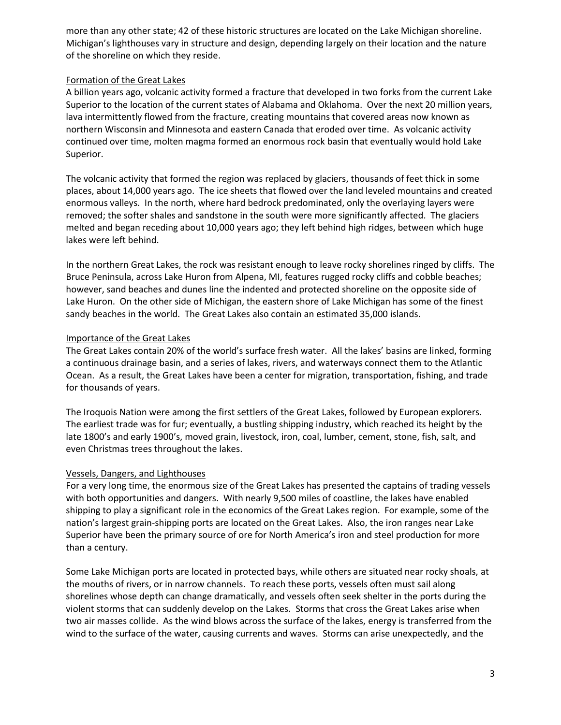more than any other state; 42 of these historic structures are located on the Lake Michigan shoreline. Michigan's lighthouses vary in structure and design, depending largely on their location and the nature of the shoreline on which they reside.

#### Formation of the Great Lakes

A billion years ago, volcanic activity formed a fracture that developed in two forks from the current Lake Superior to the location of the current states of Alabama and Oklahoma. Over the next 20 million years, lava intermittently flowed from the fracture, creating mountains that covered areas now known as northern Wisconsin and Minnesota and eastern Canada that eroded over time. As volcanic activity continued over time, molten magma formed an enormous rock basin that eventually would hold Lake Superior.

The volcanic activity that formed the region was replaced by glaciers, thousands of feet thick in some places, about 14,000 years ago. The ice sheets that flowed over the land leveled mountains and created enormous valleys. In the north, where hard bedrock predominated, only the overlaying layers were removed; the softer shales and sandstone in the south were more significantly affected. The glaciers melted and began receding about 10,000 years ago; they left behind high ridges, between which huge lakes were left behind.

In the northern Great Lakes, the rock was resistant enough to leave rocky shorelines ringed by cliffs. The Bruce Peninsula, across Lake Huron from Alpena, MI, features rugged rocky cliffs and cobble beaches; however, sand beaches and dunes line the indented and protected shoreline on the opposite side of Lake Huron. On the other side of Michigan, the eastern shore of Lake Michigan has some of the finest sandy beaches in the world. The Great Lakes also contain an estimated 35,000 islands.

#### Importance of the Great Lakes

The Great Lakes contain 20% of the world's surface fresh water. All the lakes' basins are linked, forming a continuous drainage basin, and a series of lakes, rivers, and waterways connect them to the Atlantic Ocean. As a result, the Great Lakes have been a center for migration, transportation, fishing, and trade for thousands of years.

The Iroquois Nation were among the first settlers of the Great Lakes, followed by European explorers. The earliest trade was for fur; eventually, a bustling shipping industry, which reached its height by the late 1800's and early 1900's, moved grain, livestock, iron, coal, lumber, cement, stone, fish, salt, and even Christmas trees throughout the lakes.

#### Vessels, Dangers, and Lighthouses

For a very long time, the enormous size of the Great Lakes has presented the captains of trading vessels with both opportunities and dangers. With nearly 9,500 miles of coastline, the lakes have enabled shipping to play a significant role in the economics of the Great Lakes region. For example, some of the nation's largest grain-shipping ports are located on the Great Lakes. Also, the iron ranges near Lake Superior have been the primary source of ore for North America's iron and steel production for more than a century.

Some Lake Michigan ports are located in protected bays, while others are situated near rocky shoals, at the mouths of rivers, or in narrow channels. To reach these ports, vessels often must sail along shorelines whose depth can change dramatically, and vessels often seek shelter in the ports during the violent storms that can suddenly develop on the Lakes. Storms that cross the Great Lakes arise when two air masses collide. As the wind blows across the surface of the lakes, energy is transferred from the wind to the surface of the water, causing currents and waves. Storms can arise unexpectedly, and the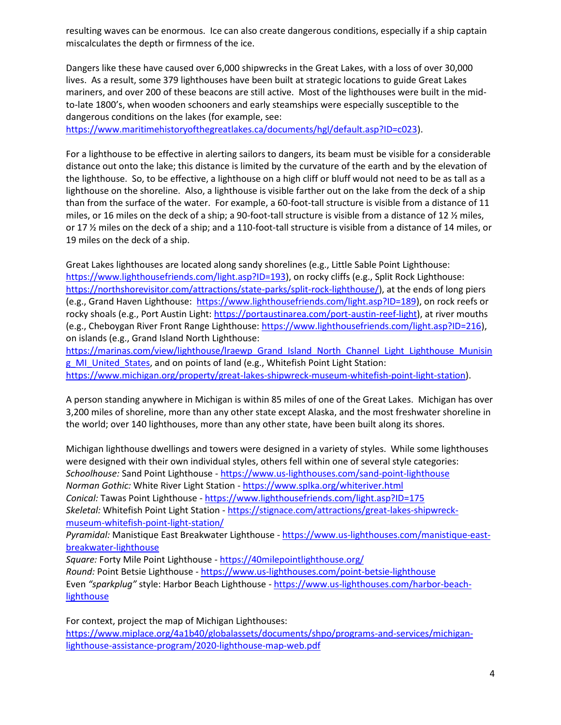resulting waves can be enormous. Ice can also create dangerous conditions, especially if a ship captain miscalculates the depth or firmness of the ice.

Dangers like these have caused over 6,000 shipwrecks in the Great Lakes, with a loss of over 30,000 lives. As a result, some 379 lighthouses have been built at strategic locations to guide Great Lakes mariners, and over 200 of these beacons are still active. Most of the lighthouses were built in the midto-late 1800's, when wooden schooners and early steamships were especially susceptible to the dangerous conditions on the lakes (for example, see:

[https://www.maritimehistoryofthegreatlakes.ca/documents/hgl/default.asp?ID=c023\)](https://www.maritimehistoryofthegreatlakes.ca/documents/hgl/default.asp?ID=c023).

For a lighthouse to be effective in alerting sailors to dangers, its beam must be visible for a considerable distance out onto the lake; this distance is limited by the curvature of the earth and by the elevation of the lighthouse. So, to be effective, a lighthouse on a high cliff or bluff would not need to be as tall as a lighthouse on the shoreline. Also, a lighthouse is visible farther out on the lake from the deck of a ship than from the surface of the water. For example, a 60-foot-tall structure is visible from a distance of 11 miles, or 16 miles on the deck of a ship; a 90-foot-tall structure is visible from a distance of 12 ½ miles, or 17 ½ miles on the deck of a ship; and a 110-foot-tall structure is visible from a distance of 14 miles, or 19 miles on the deck of a ship.

Great Lakes lighthouses are located along sandy shorelines (e.g., Little Sable Point Lighthouse: [https://www.lighthousefriends.com/light.asp?ID=193\)](https://www.lighthousefriends.com/light.asp?ID=193), on rocky cliffs (e.g., Split Rock Lighthouse: [https://northshorevisitor.com/attractions/state-parks/split-rock-lighthouse/\)](https://northshorevisitor.com/attractions/state-parks/split-rock-lighthouse/), at the ends of long piers (e.g., Grand Haven Lighthouse: [https://www.lighthousefriends.com/light.asp?ID=189\)](https://www.lighthousefriends.com/light.asp?ID=189), on rock reefs or rocky shoals (e.g., Port Austin Light[: https://portaustinarea.com/port-austin-reef-light\)](https://portaustinarea.com/port-austin-reef-light), at river mouths (e.g., Cheboygan River Front Range Lighthouse[: https://www.lighthousefriends.com/light.asp?ID=216\)](https://www.lighthousefriends.com/light.asp?ID=216), on islands (e.g., Grand Island North Lighthouse:

https://marinas.com/view/lighthouse/Iraewp\_Grand\_Island\_North\_Channel\_Light\_Lighthouse\_Munisin g MI United States, and on points of land (e.g., Whitefish Point Light Station: [https://www.michigan.org/property/great-lakes-shipwreck-museum-whitefish-point-light-station\)](https://www.michigan.org/property/great-lakes-shipwreck-museum-whitefish-point-light-station).

A person standing anywhere in Michigan is within 85 miles of one of the Great Lakes. Michigan has over 3,200 miles of shoreline, more than any other state except Alaska, and the most freshwater shoreline in the world; over 140 lighthouses, more than any other state, have been built along its shores.

Michigan lighthouse dwellings and towers were designed in a variety of styles. While some lighthouses were designed with their own individual styles, others fell within one of several style categories: *Schoolhouse:* Sand Point Lighthouse - <https://www.us-lighthouses.com/sand-point-lighthouse> *Norman Gothic:* White River Light Station - <https://www.splka.org/whiteriver.html> *Conical:* Tawas Point Lighthouse - <https://www.lighthousefriends.com/light.asp?ID=175> *Skeletal:* Whitefish Point Light Station - [https://stignace.com/attractions/great-lakes-shipwreck](https://stignace.com/attractions/great-lakes-shipwreck-museum-whitefish-point-light-station/)[museum-whitefish-point-light-station/](https://stignace.com/attractions/great-lakes-shipwreck-museum-whitefish-point-light-station/)

*Pyramidal:* Manistique East Breakwater Lighthouse - [https://www.us-lighthouses.com/manistique-east](https://www.us-lighthouses.com/manistique-east-breakwater-lighthouse)[breakwater-lighthouse](https://www.us-lighthouses.com/manistique-east-breakwater-lighthouse)

*Square:* Forty Mile Point Lighthouse - <https://40milepointlighthouse.org/> *Round:* Point Betsie Lighthouse - <https://www.us-lighthouses.com/point-betsie-lighthouse> Even *"sparkplug"* style: Harbor Beach Lighthouse - [https://www.us-lighthouses.com/harbor-beach](https://www.us-lighthouses.com/harbor-beach-lighthouse)[lighthouse](https://www.us-lighthouses.com/harbor-beach-lighthouse)

For context, project the map of Michigan Lighthouses: [https://www.miplace.org/4a1b40/globalassets/documents/shpo/programs-and-services/michigan](https://www.miplace.org/4a1b40/globalassets/documents/shpo/programs-and-services/michigan-lighthouse-assistance-program/2020-lighthouse-map-web.pdf)[lighthouse-assistance-program/2020-lighthouse-map-web.pdf](https://www.miplace.org/4a1b40/globalassets/documents/shpo/programs-and-services/michigan-lighthouse-assistance-program/2020-lighthouse-map-web.pdf)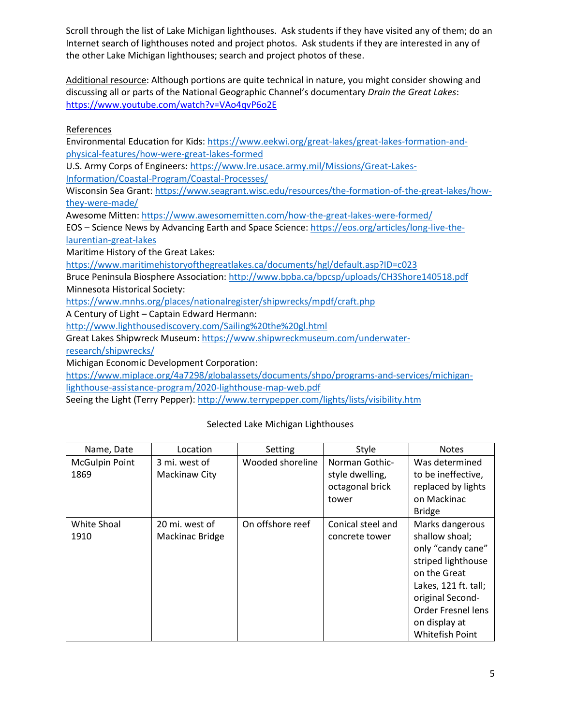Scroll through the list of Lake Michigan lighthouses. Ask students if they have visited any of them; do an Internet search of lighthouses noted and project photos. Ask students if they are interested in any of the other Lake Michigan lighthouses; search and project photos of these.

Additional resource: Although portions are quite technical in nature, you might consider showing and discussing all or parts of the National Geographic Channel's documentary *Drain the Great Lakes*: <https://www.youtube.com/watch?v=VAo4qvP6o2E>

References

Environmental Education for Kids: [https://www.eekwi.org/great-lakes/great-lakes-formation-and](https://www.eekwi.org/great-lakes/great-lakes-formation-and-physical-features/how-were-great-lakes-formed)[physical-features/how-were-great-lakes-formed](https://www.eekwi.org/great-lakes/great-lakes-formation-and-physical-features/how-were-great-lakes-formed)

U.S. Army Corps of Engineers[: https://www.lre.usace.army.mil/Missions/Great-Lakes-](https://www.lre.usace.army.mil/Missions/Great-Lakes-Information/Coastal-Program/Coastal-Processes/)[Information/Coastal-Program/Coastal-Processes/](https://www.lre.usace.army.mil/Missions/Great-Lakes-Information/Coastal-Program/Coastal-Processes/)

Wisconsin Sea Grant: [https://www.seagrant.wisc.edu/resources/the-formation-of-the-great-lakes/how](https://www.seagrant.wisc.edu/resources/the-formation-of-the-great-lakes/how-they-were-made/)[they-were-made/](https://www.seagrant.wisc.edu/resources/the-formation-of-the-great-lakes/how-they-were-made/)

Awesome Mitten[: https://www.awesomemitten.com/how-the-great-lakes-were-formed/](https://www.awesomemitten.com/how-the-great-lakes-were-formed/)

EOS – Science News by Advancing Earth and Space Science: [https://eos.org/articles/long-live-the](https://eos.org/articles/long-live-the-laurentian-great-lakes)[laurentian-great-lakes](https://eos.org/articles/long-live-the-laurentian-great-lakes)

Maritime History of the Great Lakes:

https://www.maritimehistoryofthegreatlakes.ca/documents/hgl/default.asp?ID=c023

Bruce Peninsula Biosphere Association[: http://www.bpba.ca/bpcsp/uploads/CH3Shore140518.pdf](http://www.bpba.ca/bpcsp/uploads/CH3Shore140518.pdf) Minnesota Historical Society:

<https://www.mnhs.org/places/nationalregister/shipwrecks/mpdf/craft.php>

A Century of Light – Captain Edward Hermann:

<http://www.lighthousediscovery.com/Sailing%20the%20gl.html>

Great Lakes Shipwreck Museum: [https://www.shipwreckmuseum.com/underwater-](https://www.shipwreckmuseum.com/underwater-research/shipwrecks/)

[research/shipwrecks/](https://www.shipwreckmuseum.com/underwater-research/shipwrecks/)

Michigan Economic Development Corporation:

[https://www.miplace.org/4a7298/globalassets/documents/shpo/programs-and-services/michigan](https://www.miplace.org/4a7298/globalassets/documents/shpo/programs-and-services/michigan-lighthouse-assistance-program/2020-lighthouse-map-web.pdf)[lighthouse-assistance-program/2020-lighthouse-map-web.pdf](https://www.miplace.org/4a7298/globalassets/documents/shpo/programs-and-services/michigan-lighthouse-assistance-program/2020-lighthouse-map-web.pdf)

Seeing the Light (Terry Pepper):<http://www.terrypepper.com/lights/lists/visibility.htm>

#### Selected Lake Michigan Lighthouses

| Name, Date            | Location        | Setting          | Style             | <b>Notes</b>              |
|-----------------------|-----------------|------------------|-------------------|---------------------------|
| <b>McGulpin Point</b> | 3 mi. west of   | Wooded shoreline | Norman Gothic-    | Was determined            |
| 1869                  | Mackinaw City   |                  | style dwelling,   | to be ineffective,        |
|                       |                 |                  | octagonal brick   | replaced by lights        |
|                       |                 |                  | tower             | on Mackinac               |
|                       |                 |                  |                   | <b>Bridge</b>             |
| White Shoal           | 20 mi. west of  | On offshore reef | Conical steel and | Marks dangerous           |
| 1910                  | Mackinac Bridge |                  | concrete tower    | shallow shoal;            |
|                       |                 |                  |                   | only "candy cane"         |
|                       |                 |                  |                   | striped lighthouse        |
|                       |                 |                  |                   | on the Great              |
|                       |                 |                  |                   | Lakes, 121 ft. tall;      |
|                       |                 |                  |                   | original Second-          |
|                       |                 |                  |                   | <b>Order Fresnel lens</b> |
|                       |                 |                  |                   | on display at             |
|                       |                 |                  |                   | Whitefish Point           |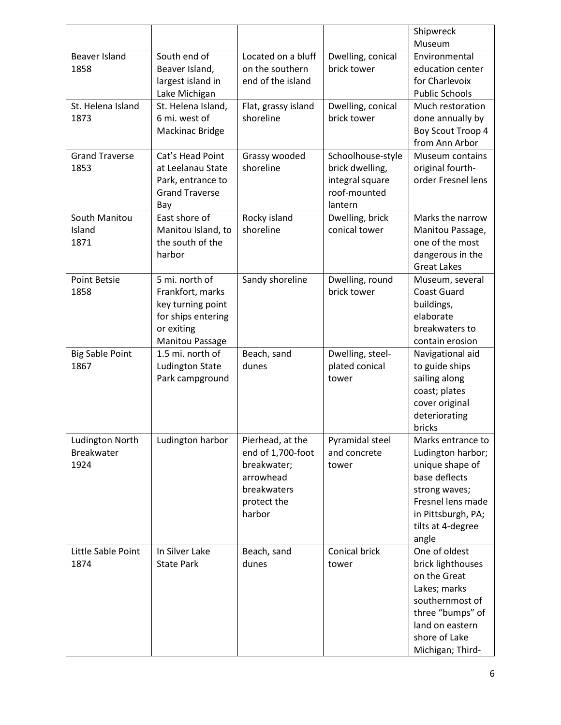|                        |                        |                     |                   | Shipwreck                         |
|------------------------|------------------------|---------------------|-------------------|-----------------------------------|
|                        |                        |                     |                   | Museum                            |
| <b>Beaver Island</b>   | South end of           | Located on a bluff  | Dwelling, conical | Environmental                     |
| 1858                   | Beaver Island,         | on the southern     | brick tower       | education center                  |
|                        | largest island in      | end of the island   |                   | for Charlevoix                    |
|                        | Lake Michigan          |                     |                   | <b>Public Schools</b>             |
| St. Helena Island      | St. Helena Island,     | Flat, grassy island | Dwelling, conical | Much restoration                  |
| 1873                   | 6 mi. west of          | shoreline           | brick tower       | done annually by                  |
|                        | Mackinac Bridge        |                     |                   | Boy Scout Troop 4                 |
|                        |                        |                     |                   | from Ann Arbor                    |
| <b>Grand Traverse</b>  | Cat's Head Point       | Grassy wooded       | Schoolhouse-style | Museum contains                   |
| 1853                   | at Leelanau State      | shoreline           | brick dwelling,   | original fourth-                  |
|                        | Park, entrance to      |                     | integral square   | order Fresnel lens                |
|                        | <b>Grand Traverse</b>  |                     | roof-mounted      |                                   |
|                        | Bay                    |                     | lantern           |                                   |
| South Manitou          | East shore of          | Rocky island        | Dwelling, brick   | Marks the narrow                  |
| Island                 | Manitou Island, to     | shoreline           | conical tower     | Manitou Passage,                  |
| 1871                   | the south of the       |                     |                   | one of the most                   |
|                        | harbor                 |                     |                   | dangerous in the                  |
|                        |                        |                     |                   | <b>Great Lakes</b>                |
| <b>Point Betsie</b>    | 5 mi. north of         | Sandy shoreline     | Dwelling, round   | Museum, several                   |
| 1858                   | Frankfort, marks       |                     | brick tower       | <b>Coast Guard</b>                |
|                        | key turning point      |                     |                   | buildings,                        |
|                        | for ships entering     |                     |                   | elaborate                         |
|                        | or exiting             |                     |                   | breakwaters to                    |
|                        | <b>Manitou Passage</b> |                     |                   | contain erosion                   |
| <b>Big Sable Point</b> | 1.5 mi. north of       | Beach, sand         | Dwelling, steel-  | Navigational aid                  |
| 1867                   | <b>Ludington State</b> | dunes               | plated conical    | to guide ships                    |
|                        | Park campground        |                     | tower             | sailing along                     |
|                        |                        |                     |                   | coast; plates                     |
|                        |                        |                     |                   | cover original                    |
|                        |                        |                     |                   | deteriorating                     |
|                        |                        |                     |                   | bricks                            |
| Ludington North        | Ludington harbor       | Pierhead, at the    | Pyramidal steel   | Marks entrance to                 |
| <b>Breakwater</b>      |                        | end of 1,700-foot   | and concrete      | Ludington harbor;                 |
| 1924                   |                        | breakwater;         | tower             | unique shape of                   |
|                        |                        | arrowhead           |                   | base deflects                     |
|                        |                        | breakwaters         |                   | strong waves;                     |
|                        |                        | protect the         |                   | Fresnel lens made                 |
|                        |                        | harbor              |                   | in Pittsburgh, PA;                |
|                        |                        |                     |                   | tilts at 4-degree                 |
|                        |                        |                     |                   | angle                             |
| Little Sable Point     | In Silver Lake         | Beach, sand         | Conical brick     | One of oldest                     |
| 1874                   | <b>State Park</b>      | dunes               | tower             | brick lighthouses<br>on the Great |
|                        |                        |                     |                   |                                   |
|                        |                        |                     |                   | Lakes; marks                      |
|                        |                        |                     |                   | southernmost of                   |
|                        |                        |                     |                   | three "bumps" of                  |
|                        |                        |                     |                   | land on eastern<br>shore of Lake  |
|                        |                        |                     |                   |                                   |
|                        |                        |                     |                   | Michigan; Third-                  |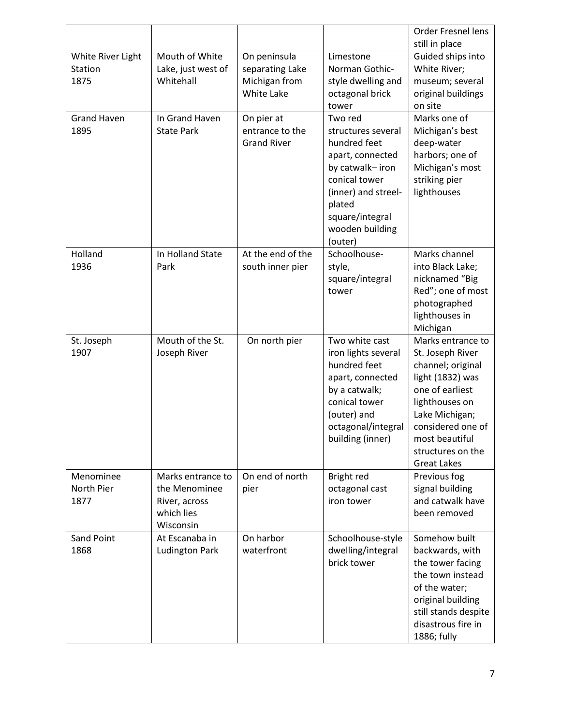|                                      |                                                                                |                                                                |                                                                                                                                                                                         | Order Fresnel lens<br>still in place                                                                                                                                                                                    |
|--------------------------------------|--------------------------------------------------------------------------------|----------------------------------------------------------------|-----------------------------------------------------------------------------------------------------------------------------------------------------------------------------------------|-------------------------------------------------------------------------------------------------------------------------------------------------------------------------------------------------------------------------|
| White River Light<br>Station<br>1875 | Mouth of White<br>Lake, just west of<br>Whitehall                              | On peninsula<br>separating Lake<br>Michigan from<br>White Lake | Limestone<br>Norman Gothic-<br>style dwelling and<br>octagonal brick<br>tower                                                                                                           | Guided ships into<br>White River;<br>museum; several<br>original buildings<br>on site                                                                                                                                   |
| <b>Grand Haven</b><br>1895           | In Grand Haven<br><b>State Park</b>                                            | On pier at<br>entrance to the<br><b>Grand River</b>            | Two red<br>structures several<br>hundred feet<br>apart, connected<br>by catwalk-iron<br>conical tower<br>(inner) and streel-<br>plated<br>square/integral<br>wooden building<br>(outer) | Marks one of<br>Michigan's best<br>deep-water<br>harbors; one of<br>Michigan's most<br>striking pier<br>lighthouses                                                                                                     |
| Holland<br>1936                      | In Holland State<br>Park                                                       | At the end of the<br>south inner pier                          | Schoolhouse-<br>style,<br>square/integral<br>tower                                                                                                                                      | Marks channel<br>into Black Lake;<br>nicknamed "Big<br>Red"; one of most<br>photographed<br>lighthouses in<br>Michigan                                                                                                  |
| St. Joseph<br>1907                   | Mouth of the St.<br>Joseph River                                               | On north pier                                                  | Two white cast<br>iron lights several<br>hundred feet<br>apart, connected<br>by a catwalk;<br>conical tower<br>(outer) and<br>octagonal/integral<br>building (inner)                    | Marks entrance to<br>St. Joseph River<br>channel; original<br>light (1832) was<br>one of earliest<br>lighthouses on<br>Lake Michigan;<br>considered one of<br>most beautiful<br>structures on the<br><b>Great Lakes</b> |
| Menominee<br>North Pier<br>1877      | Marks entrance to<br>the Menominee<br>River, across<br>which lies<br>Wisconsin | On end of north<br>pier                                        | Bright red<br>octagonal cast<br>iron tower                                                                                                                                              | Previous fog<br>signal building<br>and catwalk have<br>been removed                                                                                                                                                     |
| Sand Point<br>1868                   | At Escanaba in<br><b>Ludington Park</b>                                        | On harbor<br>waterfront                                        | Schoolhouse-style<br>dwelling/integral<br>brick tower                                                                                                                                   | Somehow built<br>backwards, with<br>the tower facing<br>the town instead<br>of the water;<br>original building<br>still stands despite<br>disastrous fire in<br>1886; fully                                             |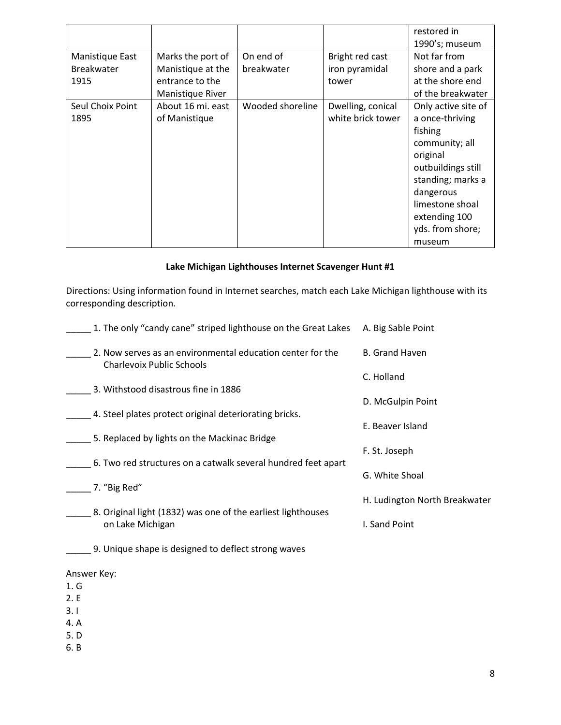|                   |                   |                  |                   | restored in         |
|-------------------|-------------------|------------------|-------------------|---------------------|
|                   |                   |                  |                   | 1990's; museum      |
| Manistique East   | Marks the port of | On end of        | Bright red cast   | Not far from        |
| <b>Breakwater</b> | Manistique at the | breakwater       | iron pyramidal    | shore and a park    |
| 1915              | entrance to the   |                  | tower             | at the shore end    |
|                   | Manistique River  |                  |                   | of the breakwater   |
| Seul Choix Point  | About 16 mi. east | Wooded shoreline | Dwelling, conical | Only active site of |
| 1895              | of Manistique     |                  | white brick tower | a once-thriving     |
|                   |                   |                  |                   | fishing             |
|                   |                   |                  |                   | community; all      |
|                   |                   |                  |                   | original            |
|                   |                   |                  |                   | outbuildings still  |
|                   |                   |                  |                   | standing; marks a   |
|                   |                   |                  |                   | dangerous           |
|                   |                   |                  |                   | limestone shoal     |
|                   |                   |                  |                   | extending 100       |
|                   |                   |                  |                   | yds. from shore;    |
|                   |                   |                  |                   | museum              |

#### **Lake Michigan Lighthouses Internet Scavenger Hunt #1**

Directions: Using information found in Internet searches, match each Lake Michigan lighthouse with its corresponding description.

| 1. The only "candy cane" striped lighthouse on the Great Lakes                                 | A. Big Sable Point              |
|------------------------------------------------------------------------------------------------|---------------------------------|
| 2. Now serves as an environmental education center for the<br><b>Charlevoix Public Schools</b> | <b>B.</b> Grand Haven           |
| 3. Withstood disastrous fine in 1886                                                           | C. Holland<br>D. McGulpin Point |
| 4. Steel plates protect original deteriorating bricks.                                         | E. Beaver Island                |
| 5. Replaced by lights on the Mackinac Bridge                                                   | F. St. Joseph                   |
| 6. Two red structures on a catwalk several hundred feet apart<br>7. "Big Red"                  | G. White Shoal                  |
| 8. Original light (1832) was one of the earliest lighthouses                                   | H. Ludington North Breakwater   |
| on Lake Michigan                                                                               | I. Sand Point                   |
| 9. Unique shape is designed to deflect strong waves                                            |                                 |
| Answer Key:                                                                                    |                                 |
| 1. G<br>2.E                                                                                    |                                 |
| 3.1                                                                                            |                                 |
| 4. A                                                                                           |                                 |
| 5. D<br>6. B                                                                                   |                                 |
|                                                                                                |                                 |